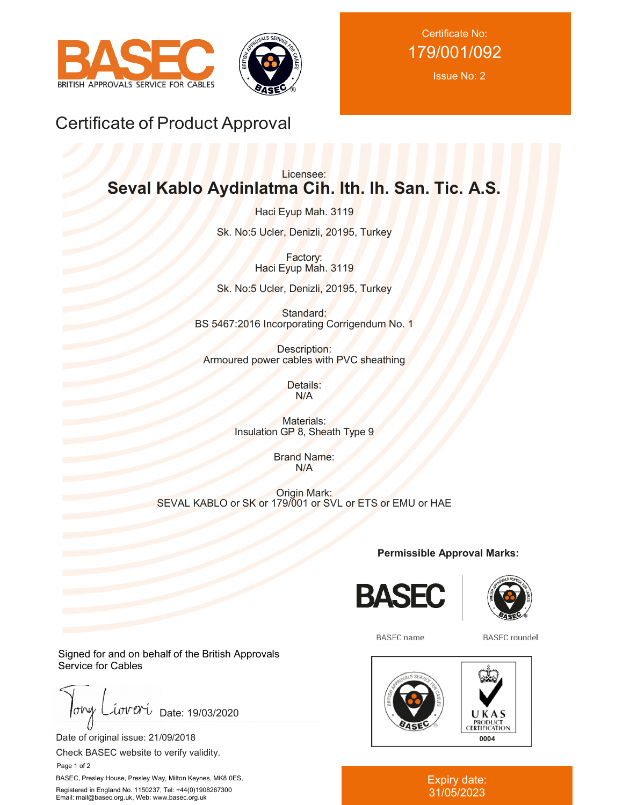



Certificate No: 179/001/092

Issue No: 2

# Certificate of Product Approval

# Licensee: **Seval Kablo Aydinlatma Cih. Ith. Ih. San. Tic. A.S.**

Haci Eyup Mah. 3119

Sk. No:5 Ucler, Denizli, 20195, Turkey

Factory: Haci Eyup Mah. 3119

Sk. No:5 Ucler, Denizli, 20195, Turkey

Standard: BS 5467:2016 Incorporating Corrigendum No. 1

Description: Armoured power cables with PVC sheathing

> Details: N/A

Materials: Insulation GP 8, Sheath Type 9

> Brand Name: N/A

Origin Mark: SEVAL KABLO or SK or 179/001 or SVL or ETS or EMU or HAE

**Permissible Approval Marks:**





**BASEC** name

**BASEC** roundel



#### Expiry date: 31/05/2023

Signed for and on behalf of the British Approvals Service for Cables

 $low$ iover Date: 19/03/2020

Date of original issue: 21/09/2018

Check BASEC website to verify validity.

Page 1 of 2

BASEC, Presley House, Presley Way, Milton Keynes, MK8 0ES, Registered in England No. 1150237, Tel: +44(0)1908267300 Email: mail@basec.org.uk, Web: www.basec.org.uk